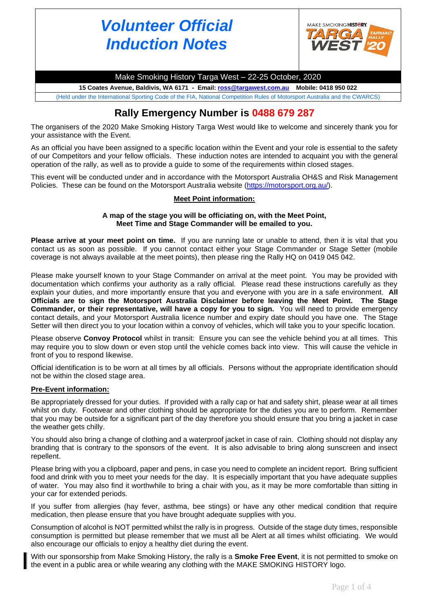# *Volunteer Official Induction Notes*



Make Smoking History Targa West – 22-25 October, 2020

**15 Coates Avenue, Baldivis, WA 6171 - Email[: ross@targawest.com.au](mailto:ross@targawest.com.au) Mobile: 0418 950 022** (Held under the International Sporting Code of the FIA, National Competition Rules of Motorsport Australia and the CWARCS)

## **Rally Emergency Number is 0488 679 287**

The organisers of the 2020 Make Smoking History Targa West would like to welcome and sincerely thank you for your assistance with the Event.

As an official you have been assigned to a specific location within the Event and your role is essential to the safety of our Competitors and your fellow officials. These induction notes are intended to acquaint you with the general operation of the rally, as well as to provide a guide to some of the requirements within closed stages.

This event will be conducted under and in accordance with the Motorsport Australia OH&S and Risk Management Policies. These can be found on the Motorsport Australia website [\(https://motorsport.org.au/\)](https://motorsport.org.au/).

#### **Meet Point information:**

#### **A map of the stage you will be officiating on, with the Meet Point, Meet Time and Stage Commander will be emailed to you.**

**Please arrive at your meet point on time.** If you are running late or unable to attend, then it is vital that you contact us as soon as possible. If you cannot contact either your Stage Commander or Stage Setter (mobile coverage is not always available at the meet points), then please ring the Rally HQ on 0419 045 042.

Please make yourself known to your Stage Commander on arrival at the meet point. You may be provided with documentation which confirms your authority as a rally official. Please read these instructions carefully as they explain your duties, and more importantly ensure that you and everyone with you are in a safe environment. **All Officials are to sign the Motorsport Australia Disclaimer before leaving the Meet Point. The Stage Commander, or their representative, will have a copy for you to sign.** You will need to provide emergency contact details, and your Motorsport Australia licence number and expiry date should you have one. The Stage Setter will then direct you to your location within a convoy of vehicles, which will take you to your specific location.

Please observe **Convoy Protocol** whilst in transit: Ensure you can see the vehicle behind you at all times. This may require you to slow down or even stop until the vehicle comes back into view. This will cause the vehicle in front of you to respond likewise.

Official identification is to be worn at all times by all officials. Persons without the appropriate identification should not be within the closed stage area.

#### **Pre-Event information:**

Be appropriately dressed for your duties. If provided with a rally cap or hat and safety shirt, please wear at all times whilst on duty. Footwear and other clothing should be appropriate for the duties you are to perform. Remember that you may be outside for a significant part of the day therefore you should ensure that you bring a jacket in case the weather gets chilly.

You should also bring a change of clothing and a waterproof jacket in case of rain. Clothing should not display any branding that is contrary to the sponsors of the event. It is also advisable to bring along sunscreen and insect repellent.

Please bring with you a clipboard, paper and pens, in case you need to complete an incident report. Bring sufficient food and drink with you to meet your needs for the day. It is especially important that you have adequate supplies of water. You may also find it worthwhile to bring a chair with you, as it may be more comfortable than sitting in your car for extended periods.

If you suffer from allergies (hay fever, asthma, bee stings) or have any other medical condition that require medication, then please ensure that you have brought adequate supplies with you.

Consumption of alcohol is NOT permitted whilst the rally is in progress. Outside of the stage duty times, responsible consumption is permitted but please remember that we must all be Alert at all times whilst officiating. We would also encourage our officials to enjoy a healthy diet during the event.

With our sponsorship from Make Smoking History, the rally is a **Smoke Free Event**, it is not permitted to smoke on the event in a public area or while wearing any clothing with the MAKE SMOKING HISTORY logo.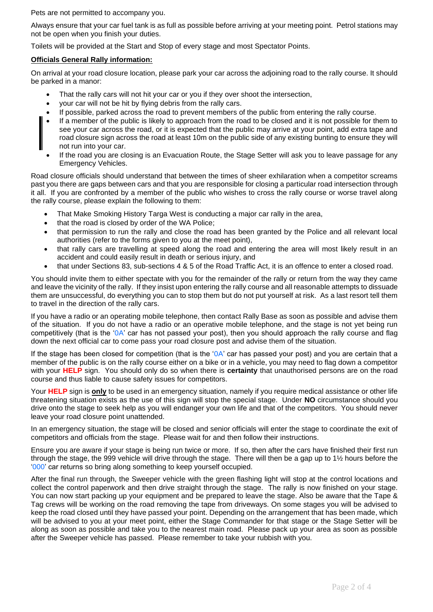Pets are not permitted to accompany you.

Always ensure that your car fuel tank is as full as possible before arriving at your meeting point. Petrol stations may not be open when you finish your duties.

Toilets will be provided at the Start and Stop of every stage and most Spectator Points.

#### **Officials General Rally information:**

On arrival at your road closure location, please park your car across the adjoining road to the rally course. It should be parked in a manor:

- That the rally cars will not hit your car or you if they over shoot the intersection,
- your car will not be hit by flying debris from the rally cars.
- If possible, parked across the road to prevent members of the public from entering the rally course.
- If a member of the public is likely to approach from the road to be closed and it is not possible for them to see your car across the road, or it is expected that the public may arrive at your point, add extra tape and road closure sign across the road at least 10m on the public side of any existing bunting to ensure they will not run into your car.
- If the road you are closing is an Evacuation Route, the Stage Setter will ask you to leave passage for any Emergency Vehicles.

Road closure officials should understand that between the times of sheer exhilaration when a competitor screams past you there are gaps between cars and that you are responsible for closing a particular road intersection through it all. If you are confronted by a member of the public who wishes to cross the rally course or worse travel along the rally course, please explain the following to them:

- That Make Smoking History Targa West is conducting a major car rally in the area,
- that the road is closed by order of the WA Police;
- that permission to run the rally and close the road has been granted by the Police and all relevant local authorities (refer to the forms given to you at the meet point),
- that rally cars are travelling at speed along the road and entering the area will most likely result in an accident and could easily result in death or serious injury, and
- that under Sections 83, sub-sections 4 & 5 of the Road Traffic Act, it is an offence to enter a closed road.

You should invite them to either spectate with you for the remainder of the rally or return from the way they came and leave the vicinity of the rally. If they insist upon entering the rally course and all reasonable attempts to dissuade them are unsuccessful, do everything you can to stop them but do not put yourself at risk. As a last resort tell them to travel in the direction of the rally cars.

If you have a radio or an operating mobile telephone, then contact Rally Base as soon as possible and advise them of the situation. If you do not have a radio or an operative mobile telephone, and the stage is not yet being run competitively (that is the 'OA' car has not passed your post), then you should approach the rally course and flag down the next official car to come pass your road closure post and advise them of the situation.

If the stage has been closed for competition (that is the '0A' car has passed your post) and you are certain that a member of the public is on the rally course either on a bike or in a vehicle, you may need to flag down a competitor with your **HELP** sign. You should only do so when there is **certainty** that unauthorised persons are on the road course and thus liable to cause safety issues for competitors.

Your **HELP** sign is **only** to be used in an emergency situation, namely if you require medical assistance or other life threatening situation exists as the use of this sign will stop the special stage. Under **NO** circumstance should you drive onto the stage to seek help as you will endanger your own life and that of the competitors. You should never leave your road closure point unattended.

In an emergency situation, the stage will be closed and senior officials will enter the stage to coordinate the exit of competitors and officials from the stage. Please wait for and then follow their instructions.

Ensure you are aware if your stage is being run twice or more. If so, then after the cars have finished their first run through the stage, the 999 vehicle will drive through the stage. There will then be a gap up to 1½ hours before the '000' car returns so bring along something to keep yourself occupied.

After the final run through, the Sweeper vehicle with the green flashing light will stop at the control locations and collect the control paperwork and then drive straight through the stage. The rally is now finished on your stage. You can now start packing up your equipment and be prepared to leave the stage. Also be aware that the Tape & Tag crews will be working on the road removing the tape from driveways. On some stages you will be advised to keep the road closed until they have passed your point. Depending on the arrangement that has been made, which will be advised to you at your meet point, either the Stage Commander for that stage or the Stage Setter will be along as soon as possible and take you to the nearest main road. Please pack up your area as soon as possible after the Sweeper vehicle has passed. Please remember to take your rubbish with you.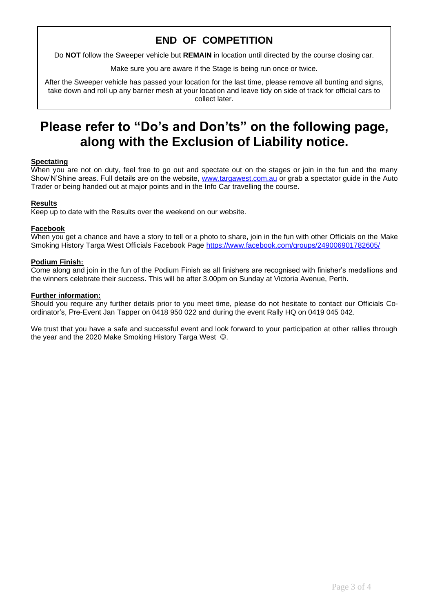## **END OF COMPETITION**

Do **NOT** follow the Sweeper vehicle but **REMAIN** in location until directed by the course closing car.

Make sure you are aware if the Stage is being run once or twice.

After the Sweeper vehicle has passed your location for the last time, please remove all bunting and signs, take down and roll up any barrier mesh at your location and leave tidy on side of track for official cars to collect later.

## **Please refer to "Do's and Don'ts" on the following page, along with the Exclusion of Liability notice.**

#### **Spectating**

When you are not on duty, feel free to go out and spectate out on the stages or join in the fun and the many Show'N'Shine areas. Full details are on the website, [www.targawest.com.au](http://www.targawest.com.au/) or grab a spectator guide in the Auto Trader or being handed out at major points and in the Info Car travelling the course.

#### **Results**

Keep up to date with the Results over the weekend on our website.

#### **Facebook**

When you get a chance and have a story to tell or a photo to share, join in the fun with other Officials on the Make Smoking History Targa West Officials Facebook Page<https://www.facebook.com/groups/249006901782605/>

#### **Podium Finish:**

Come along and join in the fun of the Podium Finish as all finishers are recognised with finisher's medallions and the winners celebrate their success. This will be after 3.00pm on Sunday at Victoria Avenue, Perth.

#### **Further information:**

Should you require any further details prior to you meet time, please do not hesitate to contact our Officials Coordinator's, Pre-Event Jan Tapper on 0418 950 022 and during the event Rally HQ on 0419 045 042.

We trust that you have a safe and successful event and look forward to your participation at other rallies through the year and the 2020 Make Smoking History Targa West  $\odot$ .